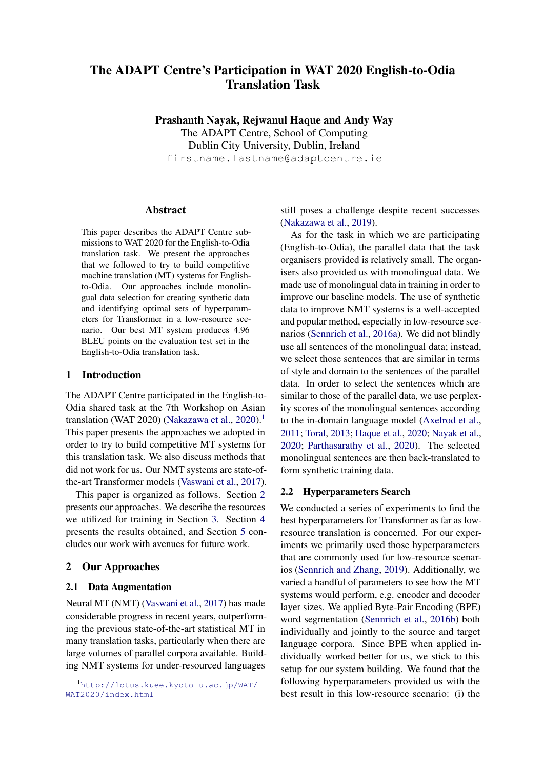# The ADAPT Centre's Participation in WAT 2020 English-to-Odia Translation Task

Prashanth Nayak, Rejwanul Haque and Andy Way The ADAPT Centre, School of Computing Dublin City University, Dublin, Ireland firstname.lastname@adaptcentre.ie

### Abstract

This paper describes the ADAPT Centre submissions to WAT 2020 for the English-to-Odia translation task. We present the approaches that we followed to try to build competitive machine translation (MT) systems for Englishto-Odia. Our approaches include monolingual data selection for creating synthetic data and identifying optimal sets of hyperparameters for Transformer in a low-resource scenario. Our best MT system produces 4.96 BLEU points on the evaluation test set in the English-to-Odia translation task.

## 1 Introduction

The ADAPT Centre participated in the English-to-Odia shared task at the 7th Workshop on Asian translation (WAT 2020) [\(Nakazawa et al.,](#page-2-0) [2020\)](#page-2-0).<sup>[1](#page-0-0)</sup> This paper presents the approaches we adopted in order to try to build competitive MT systems for this translation task. We also discuss methods that did not work for us. Our NMT systems are state-ofthe-art Transformer models [\(Vaswani et al.,](#page-3-0) [2017\)](#page-3-0).

This paper is organized as follows. Section [2](#page-0-1) presents our approaches. We describe the resources we utilized for training in Section [3.](#page-1-0) Section [4](#page-1-1) presents the results obtained, and Section [5](#page-2-1) concludes our work with avenues for future work.

# <span id="page-0-1"></span>2 Our Approaches

#### <span id="page-0-3"></span>2.1 Data Augmentation

Neural MT (NMT) [\(Vaswani et al.,](#page-3-0) [2017\)](#page-3-0) has made considerable progress in recent years, outperforming the previous state-of-the-art statistical MT in many translation tasks, particularly when there are large volumes of parallel corpora available. Building NMT systems for under-resourced languages still poses a challenge despite recent successes [\(Nakazawa et al.,](#page-2-2) [2019\)](#page-2-2).

As for the task in which we are participating (English-to-Odia), the parallel data that the task organisers provided is relatively small. The organisers also provided us with monolingual data. We made use of monolingual data in training in order to improve our baseline models. The use of synthetic data to improve NMT systems is a well-accepted and popular method, especially in low-resource scenarios [\(Sennrich et al.,](#page-2-3) [2016a\)](#page-2-3). We did not blindly use all sentences of the monolingual data; instead, we select those sentences that are similar in terms of style and domain to the sentences of the parallel data. In order to select the sentences which are similar to those of the parallel data, we use perplexity scores of the monolingual sentences according to the in-domain language model [\(Axelrod et al.,](#page-2-4) [2011;](#page-2-4) [Toral,](#page-3-1) [2013;](#page-3-1) [Haque et al.,](#page-2-5) [2020;](#page-2-5) [Nayak et al.,](#page-2-6) [2020;](#page-2-6) [Parthasarathy et al.,](#page-2-7) [2020\)](#page-2-7). The selected monolingual sentences are then back-translated to form synthetic training data.

#### <span id="page-0-2"></span>2.2 Hyperparameters Search

We conducted a series of experiments to find the best hyperparameters for Transformer as far as lowresource translation is concerned. For our experiments we primarily used those hyperparameters that are commonly used for low-resource scenarios [\(Sennrich and Zhang,](#page-2-8) [2019\)](#page-2-8). Additionally, we varied a handful of parameters to see how the MT systems would perform, e.g. encoder and decoder layer sizes. We applied Byte-Pair Encoding (BPE) word segmentation [\(Sennrich et al.,](#page-2-9) [2016b\)](#page-2-9) both individually and jointly to the source and target language corpora. Since BPE when applied individually worked better for us, we stick to this setup for our system building. We found that the following hyperparameters provided us with the best result in this low-resource scenario: (i) the

<span id="page-0-0"></span><sup>1</sup>[http://lotus.kuee.kyoto-u.ac.jp/WAT/](http://lotus.kuee.kyoto-u.ac.jp/WAT/WAT2020/index.html) [WAT2020/index.html](http://lotus.kuee.kyoto-u.ac.jp/WAT/WAT2020/index.html)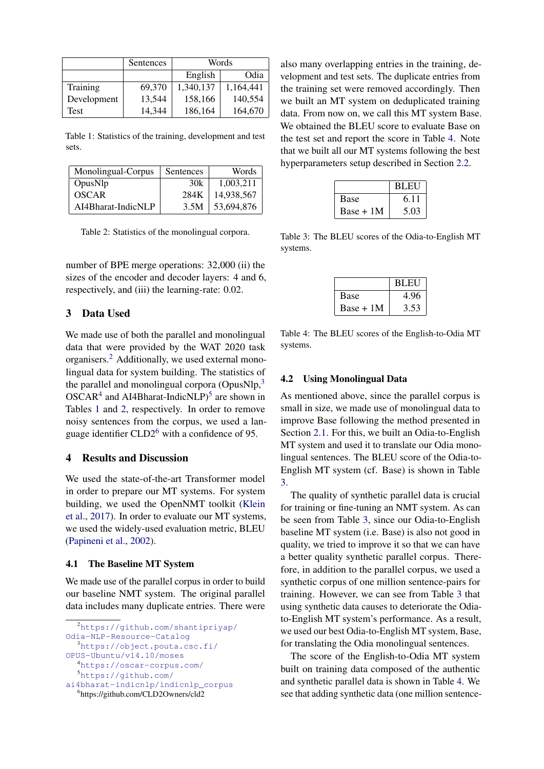<span id="page-1-6"></span>

|             | Sentences | Words     |           |
|-------------|-----------|-----------|-----------|
|             |           | English   | Odia      |
| Training    | 69.370    | 1,340,137 | 1,164,441 |
| Development | 13,544    | 158,166   | 140,554   |
| Test        | 14,344    | 186,164   | 164,670   |

Table 1: Statistics of the training, development and test sets.

<span id="page-1-7"></span>

| Monolingual-Corpus | Sentences | Words      |
|--------------------|-----------|------------|
| OpusNlp            | 30k       | 1.003.211  |
| <b>OSCAR</b>       | 284K      | 14,938,567 |
| AI4Bharat-IndicNLP | 3.5M      | 53,694,876 |

Table 2: Statistics of the monolingual corpora.

number of BPE merge operations: 32,000 (ii) the sizes of the encoder and decoder layers: 4 and 6, respectively, and (iii) the learning-rate: 0.02.

## <span id="page-1-0"></span>3 Data Used

We made use of both the parallel and monolingual data that were provided by the WAT 2020 task organisers.[2](#page-1-2) Additionally, we used external monolingual data for system building. The statistics of the parallel and monolingual corpora (OpusNlp,<sup>[3](#page-1-3)</sup>)  $OSCAR<sup>4</sup>$  $OSCAR<sup>4</sup>$  $OSCAR<sup>4</sup>$  and AI4Bharat-IndicNLP)<sup>[5](#page-1-5)</sup> are shown in Tables [1](#page-1-6) and [2,](#page-1-7) respectively. In order to remove noisy sentences from the corpus, we used a language identifier  $CLD2<sup>6</sup>$  $CLD2<sup>6</sup>$  $CLD2<sup>6</sup>$  with a confidence of 95.

### <span id="page-1-1"></span>4 Results and Discussion

We used the state-of-the-art Transformer model in order to prepare our MT systems. For system building, we used the OpenNMT toolkit [\(Klein](#page-2-10) [et al.,](#page-2-10) [2017\)](#page-2-10). In order to evaluate our MT systems, we used the widely-used evaluation metric, BLEU [\(Papineni et al.,](#page-2-11) [2002\)](#page-2-11).

#### 4.1 The Baseline MT System

We made use of the parallel corpus in order to build our baseline NMT system. The original parallel data includes many duplicate entries. There were

```
4https://oscar-corpus.com/
```

```
5https://github.com/
```

```
ai4bharat-indicnlp/indicnlp_corpus
  6
https://github.com/CLD2Owners/cld2
```
also many overlapping entries in the training, development and test sets. The duplicate entries from the training set were removed accordingly. Then we built an MT system on deduplicated training data. From now on, we call this MT system Base. We obtained the BLEU score to evaluate Base on the test set and report the score in Table [4.](#page-1-9) Note that we built all our MT systems following the best hyperparameters setup described in Section [2.2.](#page-0-2)

<span id="page-1-10"></span>

|             | <b>BLEU</b> |
|-------------|-------------|
| <b>Base</b> | 6.11        |
| $Base + 1M$ | 5.03        |

<span id="page-1-9"></span>Table 3: The BLEU scores of the Odia-to-English MT systems.

|             | <b>BLEU</b> |
|-------------|-------------|
| <b>Base</b> | 4.96        |
| $Base + 1M$ | 3.53        |

Table 4: The BLEU scores of the English-to-Odia MT systems.

#### 4.2 Using Monolingual Data

As mentioned above, since the parallel corpus is small in size, we made use of monolingual data to improve Base following the method presented in Section [2.1.](#page-0-3) For this, we built an Odia-to-English MT system and used it to translate our Odia monolingual sentences. The BLEU score of the Odia-to-English MT system (cf. Base) is shown in Table [3.](#page-1-10)

The quality of synthetic parallel data is crucial for training or fine-tuning an NMT system. As can be seen from Table [3,](#page-1-10) since our Odia-to-English baseline MT system (i.e. Base) is also not good in quality, we tried to improve it so that we can have a better quality synthetic parallel corpus. Therefore, in addition to the parallel corpus, we used a synthetic corpus of one million sentence-pairs for training. However, we can see from Table [3](#page-1-10) that using synthetic data causes to deteriorate the Odiato-English MT system's performance. As a result, we used our best Odia-to-English MT system, Base, for translating the Odia monolingual sentences.

The score of the English-to-Odia MT system built on training data composed of the authentic and synthetic parallel data is shown in Table [4.](#page-1-9) We see that adding synthetic data (one million sentence-

<span id="page-1-2"></span><sup>2</sup>[https://github.com/shantipriyap/](https://github.com/shantipriyap/Odia-NLP-Resource-Catalog) [Odia-NLP-Resource-Catalog](https://github.com/shantipriyap/Odia-NLP-Resource-Catalog)

<span id="page-1-3"></span><sup>3</sup>[https://object.pouta.csc.fi/](https://object.pouta.csc.fi/OPUS-Ubuntu/v14.10/moses)

[OPUS-Ubuntu/v14.10/moses](https://object.pouta.csc.fi/OPUS-Ubuntu/v14.10/moses)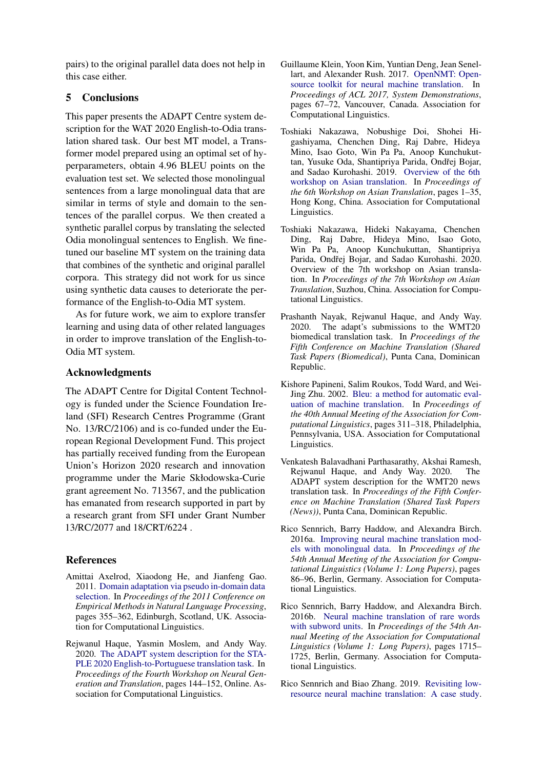pairs) to the original parallel data does not help in this case either.

# <span id="page-2-1"></span>5 Conclusions

This paper presents the ADAPT Centre system description for the WAT 2020 English-to-Odia translation shared task. Our best MT model, a Transformer model prepared using an optimal set of hyperparameters, obtain 4.96 BLEU points on the evaluation test set. We selected those monolingual sentences from a large monolingual data that are similar in terms of style and domain to the sentences of the parallel corpus. We then created a synthetic parallel corpus by translating the selected Odia monolingual sentences to English. We finetuned our baseline MT system on the training data that combines of the synthetic and original parallel corpora. This strategy did not work for us since using synthetic data causes to deteriorate the performance of the English-to-Odia MT system.

As for future work, we aim to explore transfer learning and using data of other related languages in order to improve translation of the English-to-Odia MT system.

# Acknowledgments

The ADAPT Centre for Digital Content Technology is funded under the Science Foundation Ireland (SFI) Research Centres Programme (Grant No. 13/RC/2106) and is co-funded under the European Regional Development Fund. This project has partially received funding from the European Union's Horizon 2020 research and innovation programme under the Marie Skłodowska-Curie grant agreement No. 713567, and the publication has emanated from research supported in part by a research grant from SFI under Grant Number 13/RC/2077 and 18/CRT/6224 .

# References

- <span id="page-2-4"></span>Amittai Axelrod, Xiaodong He, and Jianfeng Gao. 2011. [Domain adaptation via pseudo in-domain data](https://www.aclweb.org/anthology/D11-1033) [selection.](https://www.aclweb.org/anthology/D11-1033) In *Proceedings of the 2011 Conference on Empirical Methods in Natural Language Processing*, pages 355–362, Edinburgh, Scotland, UK. Association for Computational Linguistics.
- <span id="page-2-5"></span>Rejwanul Haque, Yasmin Moslem, and Andy Way. 2020. [The ADAPT system description for the STA-](https://doi.org/10.18653/v1/2020.ngt-1.17)[PLE 2020 English-to-Portuguese translation task.](https://doi.org/10.18653/v1/2020.ngt-1.17) In *Proceedings of the Fourth Workshop on Neural Generation and Translation*, pages 144–152, Online. Association for Computational Linguistics.
- <span id="page-2-10"></span>Guillaume Klein, Yoon Kim, Yuntian Deng, Jean Senellart, and Alexander Rush. 2017. [OpenNMT: Open](https://www.aclweb.org/anthology/P17-4012)[source toolkit for neural machine translation.](https://www.aclweb.org/anthology/P17-4012) In *Proceedings of ACL 2017, System Demonstrations*, pages 67–72, Vancouver, Canada. Association for Computational Linguistics.
- <span id="page-2-2"></span>Toshiaki Nakazawa, Nobushige Doi, Shohei Higashiyama, Chenchen Ding, Raj Dabre, Hideya Mino, Isao Goto, Win Pa Pa, Anoop Kunchukuttan, Yusuke Oda, Shantipriya Parida, Ondřej Bojar, and Sadao Kurohashi. 2019. [Overview of the 6th](https://doi.org/10.18653/v1/D19-5201) [workshop on Asian translation.](https://doi.org/10.18653/v1/D19-5201) In *Proceedings of the 6th Workshop on Asian Translation*, pages 1–35, Hong Kong, China. Association for Computational Linguistics.
- <span id="page-2-0"></span>Toshiaki Nakazawa, Hideki Nakayama, Chenchen Ding, Raj Dabre, Hideya Mino, Isao Goto, Win Pa Pa, Anoop Kunchukuttan, Shantipriya Parida, Ondřej Bojar, and Sadao Kurohashi. 2020. Overview of the 7th workshop on Asian translation. In *Proceedings of the 7th Workshop on Asian Translation*, Suzhou, China. Association for Computational Linguistics.
- <span id="page-2-6"></span>Prashanth Nayak, Rejwanul Haque, and Andy Way. 2020. The adapt's submissions to the WMT20 biomedical translation task. In *Proceedings of the Fifth Conference on Machine Translation (Shared Task Papers (Biomedical)*, Punta Cana, Dominican Republic.
- <span id="page-2-11"></span>Kishore Papineni, Salim Roukos, Todd Ward, and Wei-Jing Zhu. 2002. [Bleu: a method for automatic eval](https://doi.org/10.3115/1073083.1073135)[uation of machine translation.](https://doi.org/10.3115/1073083.1073135) In *Proceedings of the 40th Annual Meeting of the Association for Computational Linguistics*, pages 311–318, Philadelphia, Pennsylvania, USA. Association for Computational Linguistics.
- <span id="page-2-7"></span>Venkatesh Balavadhani Parthasarathy, Akshai Ramesh, Rejwanul Haque, and Andy Way. 2020. The ADAPT system description for the WMT20 news translation task. In *Proceedings of the Fifth Conference on Machine Translation (Shared Task Papers (News))*, Punta Cana, Dominican Republic.
- <span id="page-2-3"></span>Rico Sennrich, Barry Haddow, and Alexandra Birch. 2016a. [Improving neural machine translation mod](https://doi.org/10.18653/v1/P16-1009)[els with monolingual data.](https://doi.org/10.18653/v1/P16-1009) In *Proceedings of the 54th Annual Meeting of the Association for Computational Linguistics (Volume 1: Long Papers)*, pages 86–96, Berlin, Germany. Association for Computational Linguistics.
- <span id="page-2-9"></span>Rico Sennrich, Barry Haddow, and Alexandra Birch. 2016b. [Neural machine translation of rare words](https://doi.org/10.18653/v1/P16-1162) [with subword units.](https://doi.org/10.18653/v1/P16-1162) In *Proceedings of the 54th Annual Meeting of the Association for Computational Linguistics (Volume 1: Long Papers)*, pages 1715– 1725, Berlin, Germany. Association for Computational Linguistics.
- <span id="page-2-8"></span>Rico Sennrich and Biao Zhang. 2019. [Revisiting low](https://doi.org/10.18653/v1/P19-1021)[resource neural machine translation: A case study.](https://doi.org/10.18653/v1/P19-1021)